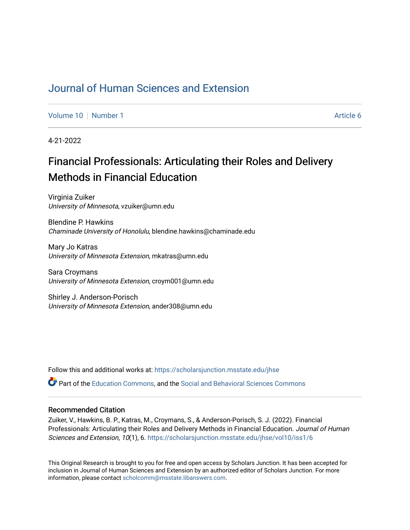## [Journal of Human Sciences and Extension](https://scholarsjunction.msstate.edu/jhse)

[Volume 10](https://scholarsjunction.msstate.edu/jhse/vol10) [Number 1](https://scholarsjunction.msstate.edu/jhse/vol10/iss1) Article 6

4-21-2022

# Financial Professionals: Articulating their Roles and Delivery Methods in Financial Education

Virginia Zuiker University of Minnesota, vzuiker@umn.edu

Blendine P. Hawkins Chaminade University of Honolulu, blendine.hawkins@chaminade.edu

Mary Jo Katras University of Minnesota Extension, mkatras@umn.edu

Sara Croymans University of Minnesota Extension, croym001@umn.edu

Shirley J. Anderson-Porisch University of Minnesota Extension, ander308@umn.edu

Follow this and additional works at: [https://scholarsjunction.msstate.edu/jhse](https://scholarsjunction.msstate.edu/jhse?utm_source=scholarsjunction.msstate.edu%2Fjhse%2Fvol10%2Fiss1%2F6&utm_medium=PDF&utm_campaign=PDFCoverPages)

Part of the [Education Commons](http://network.bepress.com/hgg/discipline/784?utm_source=scholarsjunction.msstate.edu%2Fjhse%2Fvol10%2Fiss1%2F6&utm_medium=PDF&utm_campaign=PDFCoverPages), and the [Social and Behavioral Sciences Commons](http://network.bepress.com/hgg/discipline/316?utm_source=scholarsjunction.msstate.edu%2Fjhse%2Fvol10%2Fiss1%2F6&utm_medium=PDF&utm_campaign=PDFCoverPages) 

#### Recommended Citation

Zuiker, V., Hawkins, B. P., Katras, M., Croymans, S., & Anderson-Porisch, S. J. (2022). Financial Professionals: Articulating their Roles and Delivery Methods in Financial Education. Journal of Human Sciences and Extension, 10(1), 6. [https://scholarsjunction.msstate.edu/jhse/vol10/iss1/6](https://scholarsjunction.msstate.edu/jhse/vol10/iss1/6?utm_source=scholarsjunction.msstate.edu%2Fjhse%2Fvol10%2Fiss1%2F6&utm_medium=PDF&utm_campaign=PDFCoverPages)

This Original Research is brought to you for free and open access by Scholars Junction. It has been accepted for inclusion in Journal of Human Sciences and Extension by an authorized editor of Scholars Junction. For more information, please contact [scholcomm@msstate.libanswers.com](mailto:scholcomm@msstate.libanswers.com).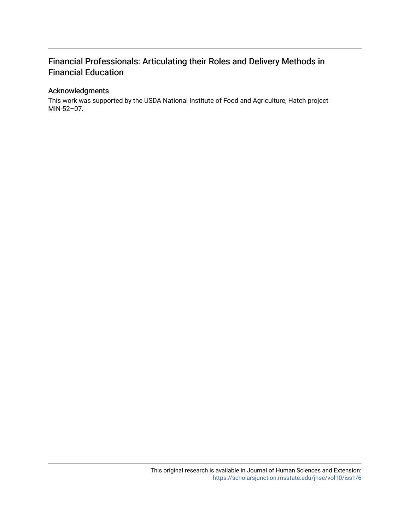## Financial Professionals: Articulating their Roles and Delivery Methods in Financial Education

## Acknowledgments

This work was supported by the USDA National Institute of Food and Agriculture, Hatch project MIN-52–07.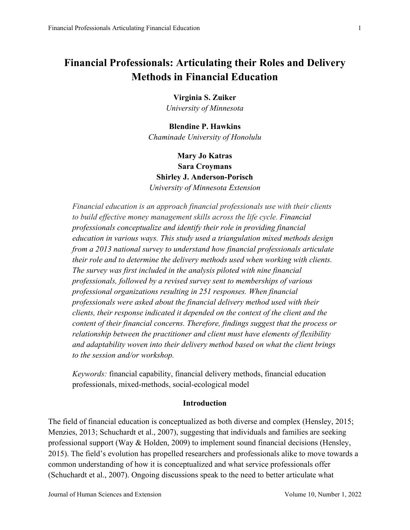## **Financial Professionals: Articulating their Roles and Delivery Methods in Financial Education**

**Virginia S. Zuiker**

*University of Minnesota*

**Blendine P. Hawkins** *Chaminade University of Honolulu*

**Mary Jo Katras Sara Croymans Shirley J. Anderson-Porisch** *University of Minnesota Extension*

*Financial education is an approach financial professionals use with their clients to build effective money management skills across the life cycle. Financial professionals conceptualize and identify their role in providing financial education in various ways. This study used a triangulation mixed methods design from a 2013 national survey to understand how financial professionals articulate their role and to determine the delivery methods used when working with clients. The survey was first included in the analysis piloted with nine financial professionals, followed by a revised survey sent to memberships of various professional organizations resulting in 251 responses. When financial professionals were asked about the financial delivery method used with their clients, their response indicated it depended on the context of the client and the content of their financial concerns. Therefore, findings suggest that the process or relationship between the practitioner and client must have elements of flexibility and adaptability woven into their delivery method based on what the client brings to the session and/or workshop.*

*Keywords:* financial capability, financial delivery methods, financial education professionals, mixed-methods, social-ecological model

## **Introduction**

The field of financial education is conceptualized as both diverse and complex (Hensley, 2015; Menzies, 2013; Schuchardt et al., 2007), suggesting that individuals and families are seeking professional support (Way & Holden, 2009) to implement sound financial decisions (Hensley, 2015). The field's evolution has propelled researchers and professionals alike to move towards a common understanding of how it is conceptualized and what service professionals offer (Schuchardt et al., 2007). Ongoing discussions speak to the need to better articulate what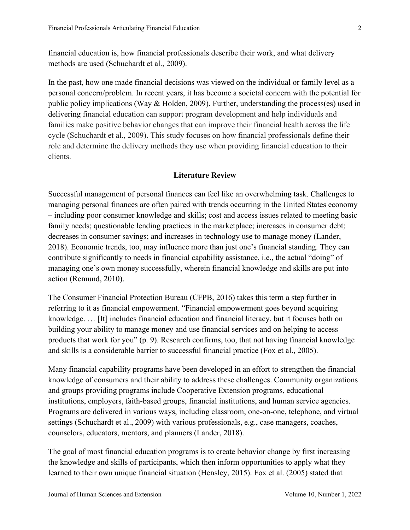financial education is, how financial professionals describe their work, and what delivery methods are used (Schuchardt et al., 2009).

In the past, how one made financial decisions was viewed on the individual or family level as a personal concern/problem. In recent years, it has become a societal concern with the potential for public policy implications (Way & Holden, 2009). Further, understanding the process(es) used in delivering financial education can support program development and help individuals and families make positive behavior changes that can improve their financial health across the life cycle (Schuchardt et al., 2009). This study focuses on how financial professionals define their role and determine the delivery methods they use when providing financial education to their clients.

#### **Literature Review**

Successful management of personal finances can feel like an overwhelming task. Challenges to managing personal finances are often paired with trends occurring in the United States economy – including poor consumer knowledge and skills; cost and access issues related to meeting basic family needs; questionable lending practices in the marketplace; increases in consumer debt; decreases in consumer savings; and increases in technology use to manage money (Lander, 2018). Economic trends, too, may influence more than just one's financial standing. They can contribute significantly to needs in financial capability assistance, i.e., the actual "doing" of managing one's own money successfully, wherein financial knowledge and skills are put into action (Remund, 2010).

The Consumer Financial Protection Bureau (CFPB, 2016) takes this term a step further in referring to it as financial empowerment. "Financial empowerment goes beyond acquiring knowledge. … [It] includes financial education and financial literacy, but it focuses both on building your ability to manage money and use financial services and on helping to access products that work for you" (p. 9). Research confirms, too, that not having financial knowledge and skills is a considerable barrier to successful financial practice (Fox et al., 2005).

Many financial capability programs have been developed in an effort to strengthen the financial knowledge of consumers and their ability to address these challenges. Community organizations and groups providing programs include Cooperative Extension programs, educational institutions, employers, faith-based groups, financial institutions, and human service agencies. Programs are delivered in various ways, including classroom, one-on-one, telephone, and virtual settings (Schuchardt et al., 2009) with various professionals, e.g., case managers, coaches, counselors, educators, mentors, and planners (Lander, 2018).

The goal of most financial education programs is to create behavior change by first increasing the knowledge and skills of participants, which then inform opportunities to apply what they learned to their own unique financial situation (Hensley, 2015). Fox et al. (2005) stated that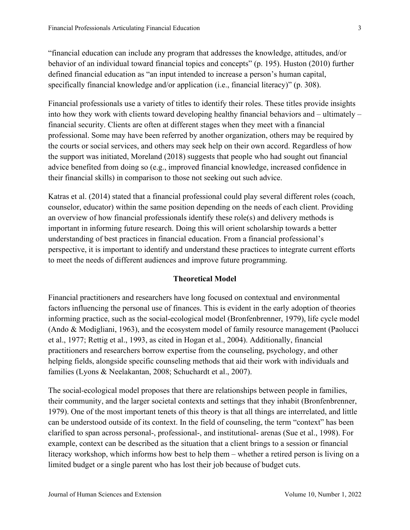"financial education can include any program that addresses the knowledge, attitudes, and/or behavior of an individual toward financial topics and concepts" (p. 195). Huston (2010) further defined financial education as "an input intended to increase a person's human capital, specifically financial knowledge and/or application (i.e., financial literacy)" (p. 308).

Financial professionals use a variety of titles to identify their roles. These titles provide insights into how they work with clients toward developing healthy financial behaviors and – ultimately – financial security. Clients are often at different stages when they meet with a financial professional. Some may have been referred by another organization, others may be required by the courts or social services, and others may seek help on their own accord. Regardless of how the support was initiated, Moreland (2018) suggests that people who had sought out financial advice benefited from doing so (e.g., improved financial knowledge, increased confidence in their financial skills) in comparison to those not seeking out such advice.

Katras et al. (2014) stated that a financial professional could play several different roles (coach, counselor, educator) within the same position depending on the needs of each client. Providing an overview of how financial professionals identify these role(s) and delivery methods is important in informing future research. Doing this will orient scholarship towards a better understanding of best practices in financial education. From a financial professional's perspective, it is important to identify and understand these practices to integrate current efforts to meet the needs of different audiences and improve future programming.

## **Theoretical Model**

Financial practitioners and researchers have long focused on contextual and environmental factors influencing the personal use of finances. This is evident in the early adoption of theories informing practice, such as the social-ecological model (Bronfenbrenner, 1979), life cycle model (Ando & Modigliani, 1963), and the ecosystem model of family resource management (Paolucci et al., 1977; Rettig et al., 1993, as cited in Hogan et al., 2004). Additionally, financial practitioners and researchers borrow expertise from the counseling, psychology, and other helping fields, alongside specific counseling methods that aid their work with individuals and families (Lyons & Neelakantan, 2008; Schuchardt et al., 2007).

The social-ecological model proposes that there are relationships between people in families, their community, and the larger societal contexts and settings that they inhabit (Bronfenbrenner, 1979). One of the most important tenets of this theory is that all things are interrelated, and little can be understood outside of its context. In the field of counseling, the term "context" has been clarified to span across personal-, professional-, and institutional- arenas (Sue et al., 1998). For example, context can be described as the situation that a client brings to a session or financial literacy workshop, which informs how best to help them – whether a retired person is living on a limited budget or a single parent who has lost their job because of budget cuts.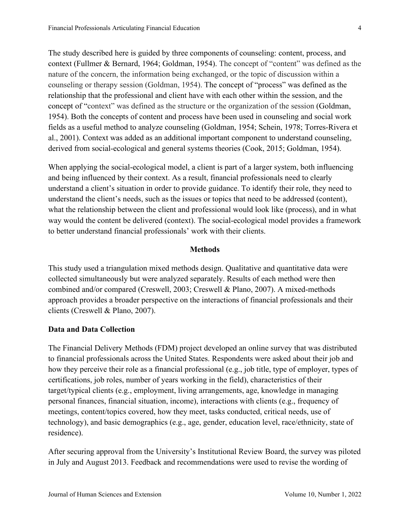The study described here is guided by three components of counseling: content, process, and context (Fullmer & Bernard, 1964; Goldman, 1954). The concept of "content" was defined as the nature of the concern, the information being exchanged, or the topic of discussion within a counseling or therapy session (Goldman, 1954). The concept of "process" was defined as the relationship that the professional and client have with each other within the session, and the concept of "context" was defined as the structure or the organization of the session (Goldman, 1954). Both the concepts of content and process have been used in counseling and social work fields as a useful method to analyze counseling (Goldman, 1954; Schein, 1978; Torres-Rivera et al., 2001). Context was added as an additional important component to understand counseling, derived from social-ecological and general systems theories (Cook, 2015; Goldman, 1954).

When applying the social-ecological model, a client is part of a larger system, both influencing and being influenced by their context. As a result, financial professionals need to clearly understand a client's situation in order to provide guidance. To identify their role, they need to understand the client's needs, such as the issues or topics that need to be addressed (content), what the relationship between the client and professional would look like (process), and in what way would the content be delivered (context). The social-ecological model provides a framework to better understand financial professionals' work with their clients.

## **Methods**

This study used a triangulation mixed methods design. Qualitative and quantitative data were collected simultaneously but were analyzed separately. Results of each method were then combined and/or compared (Creswell, 2003; Creswell & Plano, 2007). A mixed-methods approach provides a broader perspective on the interactions of financial professionals and their clients (Creswell & Plano, 2007).

## **Data and Data Collection**

The Financial Delivery Methods (FDM) project developed an online survey that was distributed to financial professionals across the United States. Respondents were asked about their job and how they perceive their role as a financial professional (e.g., job title, type of employer, types of certifications, job roles, number of years working in the field), characteristics of their target/typical clients (e.g., employment, living arrangements, age, knowledge in managing personal finances, financial situation, income), interactions with clients (e.g., frequency of meetings, content/topics covered, how they meet, tasks conducted, critical needs, use of technology), and basic demographics (e.g., age, gender, education level, race/ethnicity, state of residence).

After securing approval from the University's Institutional Review Board, the survey was piloted in July and August 2013. Feedback and recommendations were used to revise the wording of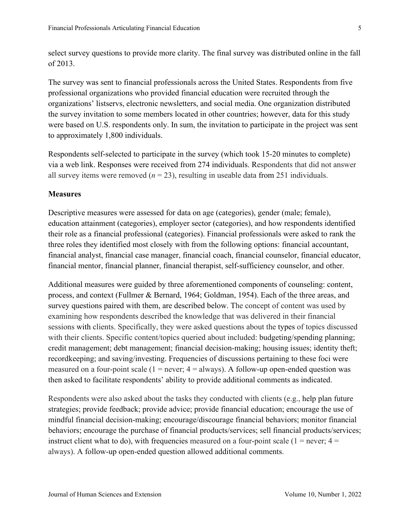select survey questions to provide more clarity. The final survey was distributed online in the fall of 2013.

The survey was sent to financial professionals across the United States. Respondents from five professional organizations who provided financial education were recruited through the organizations' listservs, electronic newsletters, and social media. One organization distributed the survey invitation to some members located in other countries; however, data for this study were based on U.S. respondents only. In sum, the invitation to participate in the project was sent to approximately 1,800 individuals.

Respondents self-selected to participate in the survey (which took 15-20 minutes to complete) via a web link. Responses were received from 274 individuals. Respondents that did not answer all survey items were removed  $(n = 23)$ , resulting in useable data from 251 individuals.

#### **Measures**

Descriptive measures were assessed for data on age (categories), gender (male; female), education attainment (categories), employer sector (categories), and how respondents identified their role as a financial professional (categories). Financial professionals were asked to rank the three roles they identified most closely with from the following options: financial accountant, financial analyst, financial case manager, financial coach, financial counselor, financial educator, financial mentor, financial planner, financial therapist, self-sufficiency counselor, and other.

Additional measures were guided by three aforementioned components of counseling: content, process, and context (Fullmer & Bernard, 1964; Goldman, 1954). Each of the three areas, and survey questions paired with them, are described below. The concept of content was used by examining how respondents described the knowledge that was delivered in their financial sessions with clients. Specifically, they were asked questions about the types of topics discussed with their clients. Specific content/topics queried about included: budgeting/spending planning; credit management; debt management; financial decision-making; housing issues; identity theft; recordkeeping; and saving/investing. Frequencies of discussions pertaining to these foci were measured on a four-point scale  $(1 = never; 4 = always)$ . A follow-up open-ended question was then asked to facilitate respondents' ability to provide additional comments as indicated.

Respondents were also asked about the tasks they conducted with clients (e.g., help plan future strategies; provide feedback; provide advice; provide financial education; encourage the use of mindful financial decision-making; encourage/discourage financial behaviors; monitor financial behaviors; encourage the purchase of financial products/services; sell financial products/services; instruct client what to do), with frequencies measured on a four-point scale  $(1 = never; 4 =$ always). A follow-up open-ended question allowed additional comments.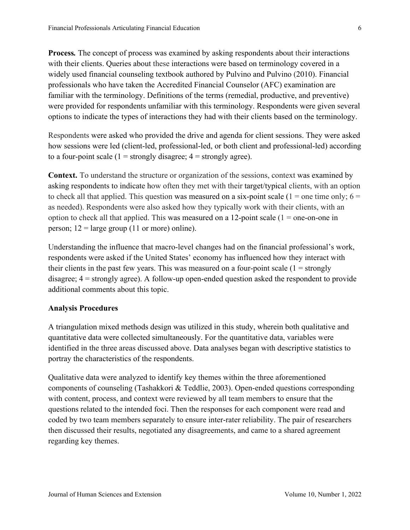**Process***.* The concept of process was examined by asking respondents about their interactions with their clients. Queries about these interactions were based on terminology covered in a widely used financial counseling textbook authored by Pulvino and Pulvino (2010). Financial professionals who have taken the Accredited Financial Counselor (AFC) examination are familiar with the terminology. Definitions of the terms (remedial, productive, and preventive) were provided for respondents unfamiliar with this terminology. Respondents were given several options to indicate the types of interactions they had with their clients based on the terminology.

Respondents were asked who provided the drive and agenda for client sessions. They were asked how sessions were led (client-led, professional-led, or both client and professional-led) according to a four-point scale  $(1 =$  strongly disagree;  $4 =$  strongly agree).

**Context.** To understand the structure or organization of the sessions, context was examined by asking respondents to indicate how often they met with their target/typical clients, with an option to check all that applied. This question was measured on a six-point scale  $(1 =$  one time only;  $6 =$ as needed). Respondents were also asked how they typically work with their clients, with an option to check all that applied. This was measured on a 12-point scale  $(1 = one-on-one in$ person;  $12 = \text{large group} (11 \text{ or more})$  online).

Understanding the influence that macro-level changes had on the financial professional's work, respondents were asked if the United States' economy has influenced how they interact with their clients in the past few years. This was measured on a four-point scale  $(1 =$  strongly disagree; 4 = strongly agree). A follow-up open-ended question asked the respondent to provide additional comments about this topic.

## **Analysis Procedures**

A triangulation mixed methods design was utilized in this study, wherein both qualitative and quantitative data were collected simultaneously. For the quantitative data, variables were identified in the three areas discussed above. Data analyses began with descriptive statistics to portray the characteristics of the respondents.

Qualitative data were analyzed to identify key themes within the three aforementioned components of counseling (Tashakkori & Teddlie, 2003). Open-ended questions corresponding with content, process, and context were reviewed by all team members to ensure that the questions related to the intended foci. Then the responses for each component were read and coded by two team members separately to ensure inter-rater reliability. The pair of researchers then discussed their results, negotiated any disagreements, and came to a shared agreement regarding key themes.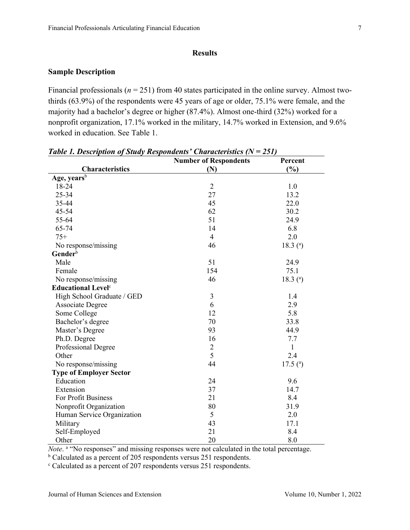## **Results**

## **Sample Description**

Financial professionals (*n* = 251) from 40 states participated in the online survey. Almost twothirds (63.9%) of the respondents were 45 years of age or older, 75.1% were female, and the majority had a bachelor's degree or higher (87.4%). Almost one-third (32%) worked for a nonprofit organization, 17.1% worked in the military, 14.7% worked in Extension, and 9.6% worked in education. See Table 1.

|                                      | <b>Number of Respondents</b> | Percent      |
|--------------------------------------|------------------------------|--------------|
| <b>Characteristics</b>               | (N)                          | (%)          |
| Age, years <sup>b</sup>              |                              |              |
| 18-24                                | $\overline{2}$               | 1.0          |
| 25-34                                | 27                           | 13.2         |
| 35-44                                | 45                           | 22.0         |
| 45-54                                | 62                           | 30.2         |
| 55-64                                | 51                           | 24.9         |
| 65-74                                | 14                           | 6.8          |
| $75+$                                | $\overline{4}$               | 2.0          |
| No response/missing                  | 46                           | 18.3 $(a)$   |
| Gender <sup>b</sup>                  |                              |              |
| Male                                 | 51                           | 24.9         |
| Female                               | 154                          | 75.1         |
| No response/missing                  | 46                           | 18.3 $(a)$   |
| <b>Educational Level<sup>c</sup></b> |                              |              |
| High School Graduate / GED           | $\mathfrak{Z}$               | 1.4          |
| <b>Associate Degree</b>              | 6                            | 2.9          |
| Some College                         | 12                           | 5.8          |
| Bachelor's degree                    | 70                           | 33.8         |
| Master's Degree                      | 93                           | 44.9         |
| Ph.D. Degree                         | 16                           | 7.7          |
| Professional Degree                  | $\overline{2}$               | $\mathbf{1}$ |
| Other                                | 5                            | 2.4          |
| No response/missing                  | 44                           | 17.5 $(a)$   |
| <b>Type of Employer Sector</b>       |                              |              |
| Education                            | 24                           | 9.6          |
| Extension                            | 37                           | 14.7         |
| For Profit Business                  | 21                           | 8.4          |
| Nonprofit Organization               | 80                           | 31.9         |
| Human Service Organization           | 5                            | 2.0          |
| Military                             | 43                           | 17.1         |
| Self-Employed                        | 21                           | 8.4          |
| Other                                | 20                           | 8.0          |

*Note*. <sup>a</sup> "No responses" and missing responses were not calculated in the total percentage.

<sup>b</sup> Calculated as a percent of 205 respondents versus 251 respondents.

 $\degree$  Calculated as a percent of 207 respondents versus 251 respondents.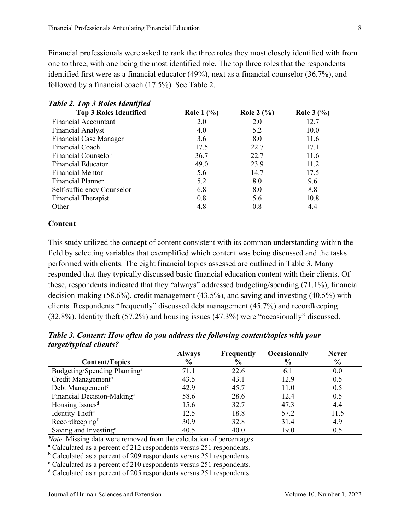Financial professionals were asked to rank the three roles they most closely identified with from one to three, with one being the most identified role. The top three roles that the respondents identified first were as a financial educator (49%), next as a financial counselor (36.7%), and followed by a financial coach (17.5%). See Table 2.

| <b>Top 3 Roles Identified</b> | <b>Role 1</b> $(\% )$ | Role 2 $(\% )$ | <b>Role 3</b> $(\% )$ |
|-------------------------------|-----------------------|----------------|-----------------------|
| Financial Accountant          | 2.0                   | 2.0            | 12.7                  |
| Financial Analyst             | 4.0                   | 5.2            | 10.0                  |
| <b>Financial Case Manager</b> | 3.6                   | 8.0            | 11.6                  |
| Financial Coach               | 17.5                  | 22.7           | 17.1                  |
| <b>Financial Counselor</b>    | 36.7                  | 22.7           | 11.6                  |
| <b>Financial Educator</b>     | 49.0                  | 23.9           | 11.2                  |
| Financial Mentor              | 5.6                   | 14.7           | 17.5                  |
| <b>Financial Planner</b>      | 5.2                   | 8.0            | 9.6                   |
| Self-sufficiency Counselor    | 6.8                   | 8.0            | 8.8                   |
| <b>Financial Therapist</b>    | 0.8                   | 5.6            | 10.8                  |
| Other                         | 4.8                   | 0.8            | 4.4                   |

*Table 2. Top 3 Roles Identified*

#### **Content**

This study utilized the concept of content consistent with its common understanding within the field by selecting variables that exemplified which content was being discussed and the tasks performed with clients. The eight financial topics assessed are outlined in Table 3. Many responded that they typically discussed basic financial education content with their clients. Of these, respondents indicated that they "always" addressed budgeting/spending (71.1%), financial decision-making (58.6%), credit management (43.5%), and saving and investing (40.5%) with clients. Respondents "frequently" discussed debt management (45.7%) and recordkeeping (32.8%). Identity theft (57.2%) and housing issues (47.3%) were "occasionally" discussed.

|                         |  | Table 3. Content: How often do you address the following content/topics with your |  |
|-------------------------|--|-----------------------------------------------------------------------------------|--|
| target/typical clients? |  |                                                                                   |  |

|                                          | <b>Always</b> | <b>Frequently</b> | <b>Occasionally</b> | <b>Never</b>  |
|------------------------------------------|---------------|-------------------|---------------------|---------------|
| <b>Content/Topics</b>                    | $\%$          | $\frac{6}{9}$     | $\frac{0}{0}$       | $\frac{0}{0}$ |
| Budgeting/Spending Planning <sup>a</sup> | 71.1          | 22.6              | 6.1                 | 0.0           |
| Credit Management <sup>b</sup>           | 43.5          | 43.1              | 12.9                | 0.5           |
| Debt Management <sup>c</sup>             | 42.9          | 45.7              | 11.0                | 0.5           |
| Financial Decision-Making <sup>e</sup>   | 58.6          | 28.6              | 12.4                | 0.5           |
| Housing Issues <sup>d</sup>              | 15.6          | 32.7              | 47.3                | 4.4           |
| Identity Theft <sup>e</sup>              | 12.5          | 18.8              | 57.2                | 11.5          |
| Recordkeepingf                           | 30.9          | 32.8              | 31.4                | 4.9           |
| Saving and Investing <sup>c</sup>        | 40.5          | 40.0              | 19.0                | 0.5           |

*Note*. Missing data were removed from the calculation of percentages.

<sup>a</sup> Calculated as a percent of 212 respondents versus 251 respondents.

<sup>b</sup> Calculated as a percent of 209 respondents versus 251 respondents.

<sup>c</sup> Calculated as a percent of 210 respondents versus 251 respondents.

<sup>d</sup> Calculated as a percent of 205 respondents versus 251 respondents.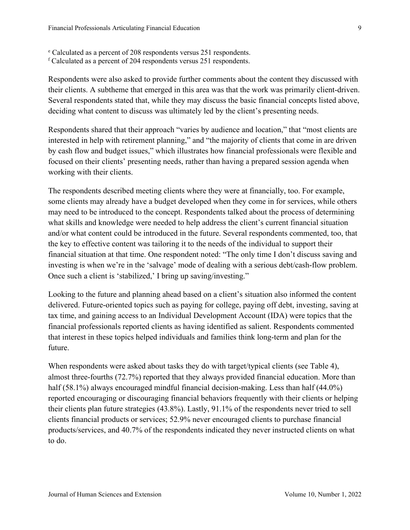<sup>e</sup> Calculated as a percent of 208 respondents versus 251 respondents. <sup>f</sup> Calculated as a percent of 204 respondents versus 251 respondents.

Respondents were also asked to provide further comments about the content they discussed with their clients. A subtheme that emerged in this area was that the work was primarily client-driven. Several respondents stated that, while they may discuss the basic financial concepts listed above, deciding what content to discuss was ultimately led by the client's presenting needs.

Respondents shared that their approach "varies by audience and location," that "most clients are interested in help with retirement planning," and "the majority of clients that come in are driven by cash flow and budget issues," which illustrates how financial professionals were flexible and focused on their clients' presenting needs, rather than having a prepared session agenda when working with their clients.

The respondents described meeting clients where they were at financially, too. For example, some clients may already have a budget developed when they come in for services, while others may need to be introduced to the concept. Respondents talked about the process of determining what skills and knowledge were needed to help address the client's current financial situation and/or what content could be introduced in the future. Several respondents commented, too, that the key to effective content was tailoring it to the needs of the individual to support their financial situation at that time. One respondent noted: "The only time I don't discuss saving and investing is when we're in the 'salvage' mode of dealing with a serious debt/cash-flow problem. Once such a client is 'stabilized,' I bring up saving/investing."

Looking to the future and planning ahead based on a client's situation also informed the content delivered. Future-oriented topics such as paying for college, paying off debt, investing, saving at tax time, and gaining access to an Individual Development Account (IDA) were topics that the financial professionals reported clients as having identified as salient. Respondents commented that interest in these topics helped individuals and families think long-term and plan for the future.

When respondents were asked about tasks they do with target/typical clients (see Table 4), almost three-fourths (72.7%) reported that they always provided financial education. More than half (58.1%) always encouraged mindful financial decision-making. Less than half (44.0%) reported encouraging or discouraging financial behaviors frequently with their clients or helping their clients plan future strategies (43.8%). Lastly, 91.1% of the respondents never tried to sell clients financial products or services; 52.9% never encouraged clients to purchase financial products/services, and 40.7% of the respondents indicated they never instructed clients on what to do.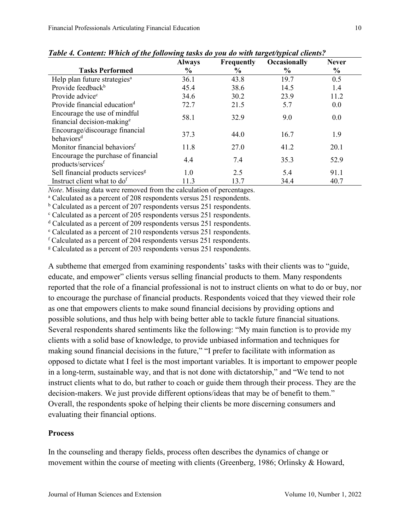|                                               | wore a coment of men of the following mono tho four the man maged typical encritist<br><b>Occasionally</b><br><b>Never</b> |               |               |               |  |  |
|-----------------------------------------------|----------------------------------------------------------------------------------------------------------------------------|---------------|---------------|---------------|--|--|
|                                               | <b>Always</b>                                                                                                              | Frequently    |               |               |  |  |
| <b>Tasks Performed</b>                        | $\%$                                                                                                                       | $\frac{0}{0}$ | $\frac{6}{6}$ | $\frac{0}{0}$ |  |  |
| Help plan future strategies <sup>a</sup>      | 36.1                                                                                                                       | 43.8          | 19.7          | 0.5           |  |  |
| Provide feedback <sup>b</sup>                 | 45.4                                                                                                                       | 38.6          | 14.5          | 1.4           |  |  |
| Provide advice <sup>c</sup>                   | 34.6                                                                                                                       | 30.2          | 23.9          | 11.2          |  |  |
| Provide financial education <sup>d</sup>      | 72.7                                                                                                                       | 21.5          | 5.7           | 0.0           |  |  |
| Encourage the use of mindful                  | 58.1                                                                                                                       | 32.9          | 9.0           | 0.0           |  |  |
| financial decision-making <sup>e</sup>        |                                                                                                                            |               |               |               |  |  |
| Encourage/discourage financial                | 37.3                                                                                                                       | 44.0          | 16.7          | 1.9           |  |  |
| behaviors <sup>d</sup>                        |                                                                                                                            |               |               |               |  |  |
| Monitor financial behaviors <sup>f</sup>      | 11.8                                                                                                                       | 27.0          | 41.2          | 20.1          |  |  |
| Encourage the purchase of financial           | 4.4                                                                                                                        | 7.4           | 35.3          | 52.9          |  |  |
| products/services <sup>f</sup>                |                                                                                                                            |               |               |               |  |  |
| Sell financial products services <sup>g</sup> | 1.0                                                                                                                        | 2.5           | 5.4           | 91.1          |  |  |
| Instruct client what to do <sup>f</sup>       | 11.3                                                                                                                       | 13.7          | 34.4          | 40.7          |  |  |

*Table 4. Content: Which of the following tasks do you do with target/typical clients?*

*Note*. Missing data were removed from the calculation of percentages.

<sup>a</sup> Calculated as a percent of 208 respondents versus 251 respondents.

<sup>b</sup> Calculated as a percent of 207 respondents versus 251 respondents.

<sup>c</sup> Calculated as a percent of 205 respondents versus 251 respondents.

<sup>d</sup> Calculated as a percent of 209 respondents versus 251 respondents.

<sup>e</sup> Calculated as a percent of 210 respondents versus 251 respondents.

<sup>f</sup> Calculated as a percent of 204 respondents versus 251 respondents.

<sup>g</sup> Calculated as a percent of 203 respondents versus 251 respondents.

A subtheme that emerged from examining respondents' tasks with their clients was to "guide, educate, and empower" clients versus selling financial products to them. Many respondents reported that the role of a financial professional is not to instruct clients on what to do or buy, nor to encourage the purchase of financial products. Respondents voiced that they viewed their role as one that empowers clients to make sound financial decisions by providing options and possible solutions, and thus help with being better able to tackle future financial situations. Several respondents shared sentiments like the following: "My main function is to provide my clients with a solid base of knowledge, to provide unbiased information and techniques for making sound financial decisions in the future," "I prefer to facilitate with information as opposed to dictate what I feel is the most important variables. It is important to empower people in a long-term, sustainable way, and that is not done with dictatorship," and "We tend to not instruct clients what to do, but rather to coach or guide them through their process. They are the decision-makers. We just provide different options/ideas that may be of benefit to them." Overall, the respondents spoke of helping their clients be more discerning consumers and evaluating their financial options.

#### **Process**

In the counseling and therapy fields, process often describes the dynamics of change or movement within the course of meeting with clients (Greenberg, 1986; Orlinsky & Howard,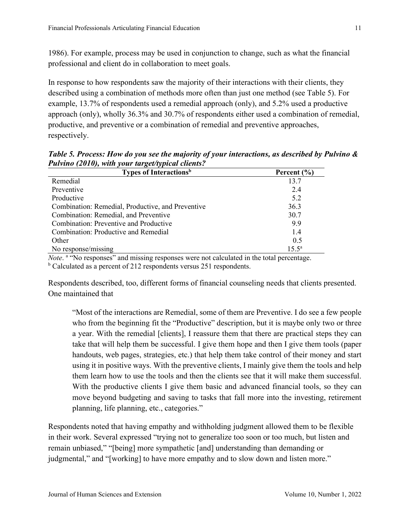1986). For example, process may be used in conjunction to change, such as what the financial professional and client do in collaboration to meet goals.

In response to how respondents saw the majority of their interactions with their clients, they described using a combination of methods more often than just one method (see Table 5). For example, 13.7% of respondents used a remedial approach (only), and 5.2% used a productive approach (only), wholly 36.3% and 30.7% of respondents either used a combination of remedial, productive, and preventive or a combination of remedial and preventive approaches, respectively.

| <b>Types of Interactions</b> <sup>b</sup>         | Percent $(\% )$ |
|---------------------------------------------------|-----------------|
| Remedial                                          | 13.7            |
| Preventive                                        | 2.4             |
| Productive                                        | 5.2             |
| Combination: Remedial, Productive, and Preventive | 36.3            |
| Combination: Remedial, and Preventive             | 30.7            |
| Combination: Preventive and Productive            | 9.9             |
| Combination: Productive and Remedial              | 1.4             |
| Other                                             | 0.5             |
| No response/missing                               | $15.5^{\circ}$  |

*Table 5. Process: How do you see the majority of your interactions, as described by Pulvino & Pulvino (2010), with your target/typical clients?*

*Note*. <sup>a</sup> "No responses" and missing responses were not calculated in the total percentage.

 $<sup>b</sup>$  Calculated as a percent of 212 respondents versus 251 respondents.</sup>

Respondents described, too, different forms of financial counseling needs that clients presented. One maintained that

"Most of the interactions are Remedial, some of them are Preventive. I do see a few people who from the beginning fit the "Productive" description, but it is maybe only two or three a year. With the remedial [clients], I reassure them that there are practical steps they can take that will help them be successful. I give them hope and then I give them tools (paper handouts, web pages, strategies, etc.) that help them take control of their money and start using it in positive ways. With the preventive clients, I mainly give them the tools and help them learn how to use the tools and then the clients see that it will make them successful. With the productive clients I give them basic and advanced financial tools, so they can move beyond budgeting and saving to tasks that fall more into the investing, retirement planning, life planning, etc., categories."

Respondents noted that having empathy and withholding judgment allowed them to be flexible in their work. Several expressed "trying not to generalize too soon or too much, but listen and remain unbiased," "[being] more sympathetic [and] understanding than demanding or judgmental," and "[working] to have more empathy and to slow down and listen more."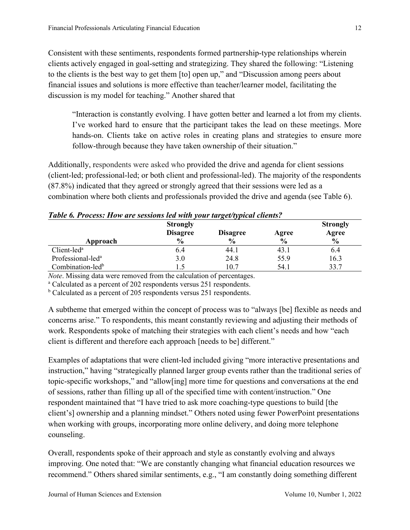Consistent with these sentiments, respondents formed partnership-type relationships wherein clients actively engaged in goal-setting and strategizing. They shared the following: "Listening to the clients is the best way to get them [to] open up," and "Discussion among peers about financial issues and solutions is more effective than teacher/learner model, facilitating the discussion is my model for teaching." Another shared that

"Interaction is constantly evolving. I have gotten better and learned a lot from my clients. I've worked hard to ensure that the participant takes the lead on these meetings. More hands-on. Clients take on active roles in creating plans and strategies to ensure more follow-through because they have taken ownership of their situation."

Additionally, respondents were asked who provided the drive and agenda for client sessions (client-led; professional-led; or both client and professional-led). The majority of the respondents (87.8%) indicated that they agreed or strongly agreed that their sessions were led as a combination where both clients and professionals provided the drive and agenda (see Table 6).

|                               | <b>Strongly</b><br><b>Disagree</b> | <b>Disagree</b> | Agree         | <b>Strongly</b><br>Agree |
|-------------------------------|------------------------------------|-----------------|---------------|--------------------------|
| Approach                      | $\frac{6}{9}$                      | $\frac{6}{9}$   | $\frac{6}{6}$ | $\frac{6}{9}$            |
| $Client$ -led <sup>a</sup>    | 6.4                                | 44.1            | 43.1          | 6.4                      |
| Professional-led <sup>a</sup> | 3.0                                | 24.8            | 55.9          | 16.3                     |
| Combination-led <sup>b</sup>  |                                    | 10.7            | 54.1          | 33.7                     |

| Table 6. Process: How are sessions led with your target/typical clients? |  |  |
|--------------------------------------------------------------------------|--|--|
|--------------------------------------------------------------------------|--|--|

*Note*. Missing data were removed from the calculation of percentages.

<sup>a</sup> Calculated as a percent of 202 respondents versus 251 respondents.

<sup>b</sup> Calculated as a percent of 205 respondents versus 251 respondents.

A subtheme that emerged within the concept of process was to "always [be] flexible as needs and concerns arise." To respondents, this meant constantly reviewing and adjusting their methods of work. Respondents spoke of matching their strategies with each client's needs and how "each client is different and therefore each approach [needs to be] different."

Examples of adaptations that were client-led included giving "more interactive presentations and instruction," having "strategically planned larger group events rather than the traditional series of topic-specific workshops," and "allow[ing] more time for questions and conversations at the end of sessions, rather than filling up all of the specified time with content/instruction." One respondent maintained that "I have tried to ask more coaching-type questions to build [the client's] ownership and a planning mindset." Others noted using fewer PowerPoint presentations when working with groups, incorporating more online delivery, and doing more telephone counseling.

Overall, respondents spoke of their approach and style as constantly evolving and always improving. One noted that: "We are constantly changing what financial education resources we recommend." Others shared similar sentiments, e.g., "I am constantly doing something different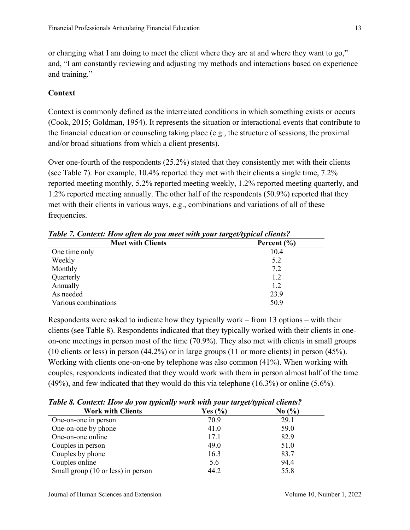or changing what I am doing to meet the client where they are at and where they want to go," and, "I am constantly reviewing and adjusting my methods and interactions based on experience and training."

## **Context**

Context is commonly defined as the interrelated conditions in which something exists or occurs (Cook, 2015; Goldman, 1954). It represents the situation or interactional events that contribute to the financial education or counseling taking place (e.g., the structure of sessions, the proximal and/or broad situations from which a client presents).

Over one-fourth of the respondents (25.2%) stated that they consistently met with their clients (see Table 7). For example, 10.4% reported they met with their clients a single time, 7.2% reported meeting monthly, 5.2% reported meeting weekly, 1.2% reported meeting quarterly, and 1.2% reported meeting annually. The other half of the respondents (50.9%) reported that they met with their clients in various ways, e.g., combinations and variations of all of these frequencies.

| <b>Meet with Clients</b> | . .<br>້.<br>Percent $(\% )$ |
|--------------------------|------------------------------|
| One time only            | 10.4                         |
| Weekly                   | 5.2                          |
| Monthly                  | 7.2                          |
| Quarterly                | 1.2                          |
| Annually                 | 1.2                          |
| As needed                | 23.9                         |
| Various combinations     | 50.9                         |

*Table 7. Context: How often do you meet with your target/typical clients?*

Respondents were asked to indicate how they typically work – from 13 options – with their clients (see Table 8). Respondents indicated that they typically worked with their clients in oneon-one meetings in person most of the time (70.9%). They also met with clients in small groups (10 clients or less) in person (44.2%) or in large groups (11 or more clients) in person (45%). Working with clients one-on-one by telephone was also common (41%). When working with couples, respondents indicated that they would work with them in person almost half of the time (49%), and few indicated that they would do this via telephone (16.3%) or online (5.6%).

*Table 8. Context: How do you typically work with your target/typical clients?* 

| <b>Work with Clients</b>           | Yes $(\% )$ | No $\left(\frac{9}{6}\right)$ |
|------------------------------------|-------------|-------------------------------|
| One-on-one in person               | 70.9        | 29.1                          |
| One-on-one by phone                | 41.0        | 59.0                          |
| One-on-one online                  | 17.1        | 82.9                          |
| Couples in person                  | 49.0        | 51.0                          |
| Couples by phone                   | 16.3        | 83.7                          |
| Couples online                     | 5.6         | 94.4                          |
| Small group (10 or less) in person | 44.2        | 55.8                          |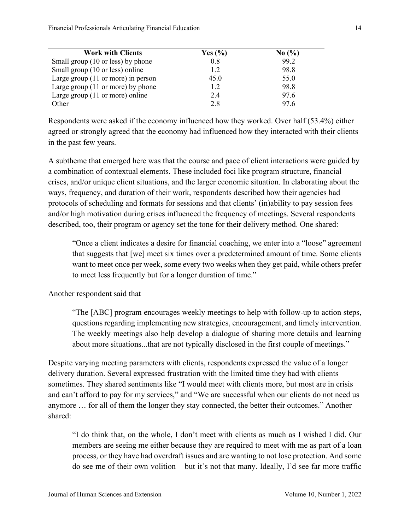Financial Professionals Articulating Financial Education 14

| <b>Work with Clients</b>                     | Yes $(\% )$ | No $\left(\frac{0}{0}\right)$ |
|----------------------------------------------|-------------|-------------------------------|
| Small group (10 or less) by phone            | 0.8         | 99.2                          |
| Small group (10 or less) online              | 1.2         | 98.8                          |
| Large group $(11 \text{ or more})$ in person | 45.0        | 55.0                          |
| Large group $(11 \text{ or more})$ by phone  | 1.2         | 98.8                          |
| Large group $(11 \text{ or more})$ online    | 2.4         | 97.6                          |
| Other                                        | 2.8         | 97.6                          |

Respondents were asked if the economy influenced how they worked. Over half (53.4%) either agreed or strongly agreed that the economy had influenced how they interacted with their clients in the past few years.

A subtheme that emerged here was that the course and pace of client interactions were guided by a combination of contextual elements. These included foci like program structure, financial crises, and/or unique client situations, and the larger economic situation. In elaborating about the ways, frequency, and duration of their work, respondents described how their agencies had protocols of scheduling and formats for sessions and that clients' (in)ability to pay session fees and/or high motivation during crises influenced the frequency of meetings. Several respondents described, too, their program or agency set the tone for their delivery method. One shared:

"Once a client indicates a desire for financial coaching, we enter into a "loose" agreement that suggests that [we] meet six times over a predetermined amount of time. Some clients want to meet once per week, some every two weeks when they get paid, while others prefer to meet less frequently but for a longer duration of time."

Another respondent said that

"The [ABC] program encourages weekly meetings to help with follow-up to action steps, questions regarding implementing new strategies, encouragement, and timely intervention. The weekly meetings also help develop a dialogue of sharing more details and learning about more situations...that are not typically disclosed in the first couple of meetings."

Despite varying meeting parameters with clients, respondents expressed the value of a longer delivery duration. Several expressed frustration with the limited time they had with clients sometimes. They shared sentiments like "I would meet with clients more, but most are in crisis and can't afford to pay for my services," and "We are successful when our clients do not need us anymore … for all of them the longer they stay connected, the better their outcomes." Another shared:

"I do think that, on the whole, I don't meet with clients as much as I wished I did. Our members are seeing me either because they are required to meet with me as part of a loan process, or they have had overdraft issues and are wanting to not lose protection. And some do see me of their own volition – but it's not that many. Ideally, I'd see far more traffic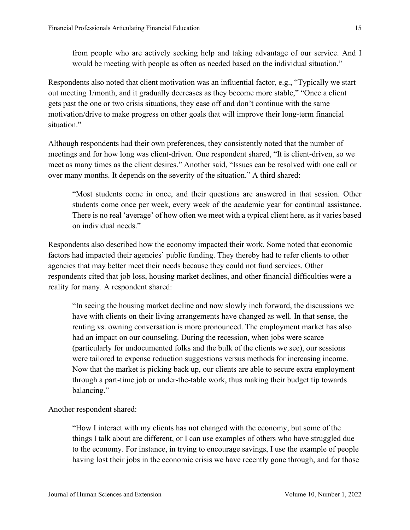from people who are actively seeking help and taking advantage of our service. And I would be meeting with people as often as needed based on the individual situation."

Respondents also noted that client motivation was an influential factor, e.g., "Typically we start out meeting 1/month, and it gradually decreases as they become more stable," "Once a client gets past the one or two crisis situations, they ease off and don't continue with the same motivation/drive to make progress on other goals that will improve their long-term financial situation."

Although respondents had their own preferences, they consistently noted that the number of meetings and for how long was client-driven. One respondent shared, "It is client-driven, so we meet as many times as the client desires." Another said, "Issues can be resolved with one call or over many months. It depends on the severity of the situation." A third shared:

"Most students come in once, and their questions are answered in that session. Other students come once per week, every week of the academic year for continual assistance. There is no real 'average' of how often we meet with a typical client here, as it varies based on individual needs."

Respondents also described how the economy impacted their work. Some noted that economic factors had impacted their agencies' public funding. They thereby had to refer clients to other agencies that may better meet their needs because they could not fund services. Other respondents cited that job loss, housing market declines, and other financial difficulties were a reality for many. A respondent shared:

"In seeing the housing market decline and now slowly inch forward, the discussions we have with clients on their living arrangements have changed as well. In that sense, the renting vs. owning conversation is more pronounced. The employment market has also had an impact on our counseling. During the recession, when jobs were scarce (particularly for undocumented folks and the bulk of the clients we see), our sessions were tailored to expense reduction suggestions versus methods for increasing income. Now that the market is picking back up, our clients are able to secure extra employment through a part-time job or under-the-table work, thus making their budget tip towards balancing."

Another respondent shared:

"How I interact with my clients has not changed with the economy, but some of the things I talk about are different, or I can use examples of others who have struggled due to the economy. For instance, in trying to encourage savings, I use the example of people having lost their jobs in the economic crisis we have recently gone through, and for those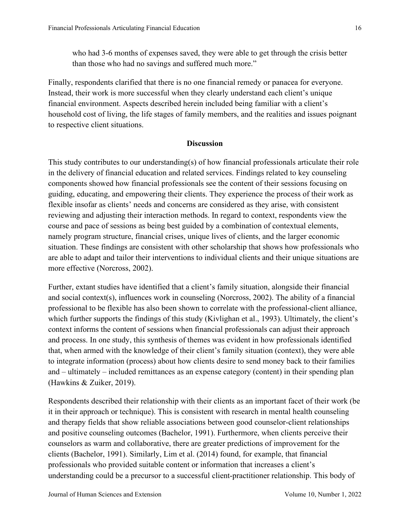who had 3-6 months of expenses saved, they were able to get through the crisis better than those who had no savings and suffered much more."

Finally, respondents clarified that there is no one financial remedy or panacea for everyone. Instead, their work is more successful when they clearly understand each client's unique financial environment. Aspects described herein included being familiar with a client's household cost of living, the life stages of family members, and the realities and issues poignant to respective client situations.

#### **Discussion**

This study contributes to our understanding(s) of how financial professionals articulate their role in the delivery of financial education and related services. Findings related to key counseling components showed how financial professionals see the content of their sessions focusing on guiding, educating, and empowering their clients. They experience the process of their work as flexible insofar as clients' needs and concerns are considered as they arise, with consistent reviewing and adjusting their interaction methods. In regard to context, respondents view the course and pace of sessions as being best guided by a combination of contextual elements, namely program structure, financial crises, unique lives of clients, and the larger economic situation. These findings are consistent with other scholarship that shows how professionals who are able to adapt and tailor their interventions to individual clients and their unique situations are more effective (Norcross, 2002).

Further, extant studies have identified that a client's family situation, alongside their financial and social context(s), influences work in counseling (Norcross, 2002). The ability of a financial professional to be flexible has also been shown to correlate with the professional-client alliance, which further supports the findings of this study (Kivlighan et al., 1993). Ultimately, the client's context informs the content of sessions when financial professionals can adjust their approach and process. In one study, this synthesis of themes was evident in how professionals identified that, when armed with the knowledge of their client's family situation (context), they were able to integrate information (process) about how clients desire to send money back to their families and – ultimately – included remittances as an expense category (content) in their spending plan (Hawkins & Zuiker, 2019).

Respondents described their relationship with their clients as an important facet of their work (be it in their approach or technique). This is consistent with research in mental health counseling and therapy fields that show reliable associations between good counselor-client relationships and positive counseling outcomes (Bachelor, 1991). Furthermore, when clients perceive their counselors as warm and collaborative, there are greater predictions of improvement for the clients (Bachelor, 1991). Similarly, Lim et al. (2014) found, for example, that financial professionals who provided suitable content or information that increases a client's understanding could be a precursor to a successful client-practitioner relationship. This body of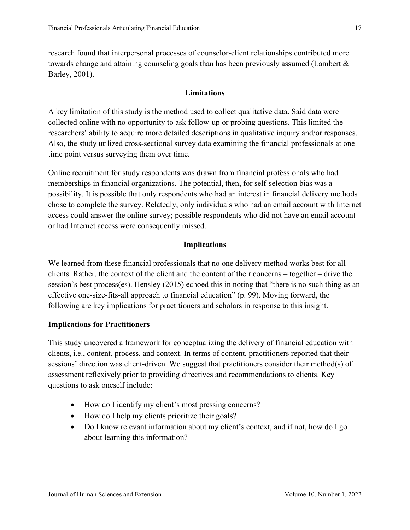research found that interpersonal processes of counselor-client relationships contributed more towards change and attaining counseling goals than has been previously assumed (Lambert & Barley, 2001).

## **Limitations**

A key limitation of this study is the method used to collect qualitative data. Said data were collected online with no opportunity to ask follow-up or probing questions. This limited the researchers' ability to acquire more detailed descriptions in qualitative inquiry and/or responses. Also, the study utilized cross-sectional survey data examining the financial professionals at one time point versus surveying them over time.

Online recruitment for study respondents was drawn from financial professionals who had memberships in financial organizations. The potential, then, for self-selection bias was a possibility. It is possible that only respondents who had an interest in financial delivery methods chose to complete the survey. Relatedly, only individuals who had an email account with Internet access could answer the online survey; possible respondents who did not have an email account or had Internet access were consequently missed.

## **Implications**

We learned from these financial professionals that no one delivery method works best for all clients. Rather, the context of the client and the content of their concerns – together – drive the session's best process(es). Hensley (2015) echoed this in noting that "there is no such thing as an effective one-size-fits-all approach to financial education" (p. 99). Moving forward, the following are key implications for practitioners and scholars in response to this insight.

## **Implications for Practitioners**

This study uncovered a framework for conceptualizing the delivery of financial education with clients, i.e., content, process, and context. In terms of content, practitioners reported that their sessions' direction was client-driven. We suggest that practitioners consider their method(s) of assessment reflexively prior to providing directives and recommendations to clients. Key questions to ask oneself include:

- How do I identify my client's most pressing concerns?
- How do I help my clients prioritize their goals?
- Do I know relevant information about my client's context, and if not, how do I go about learning this information?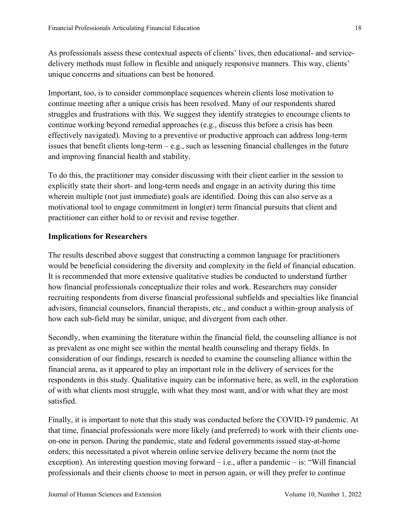As professionals assess these contextual aspects of clients' lives, then educational- and servicedelivery methods must follow in flexible and uniquely responsive manners. This way, clients' unique concerns and situations can best be honored.

Important, too, is to consider commonplace sequences wherein clients lose motivation to continue meeting after a unique crisis has been resolved. Many of our respondents shared struggles and frustrations with this. We suggest they identify strategies to encourage clients to continue working beyond remedial approaches (e.g., discuss this before a crisis has been effectively navigated). Moving to a preventive or productive approach can address long-term issues that benefit clients long-term – e.g., such as lessening financial challenges in the future and improving financial health and stability.

To do this, the practitioner may consider discussing with their client earlier in the session to explicitly state their short- and long-term needs and engage in an activity during this time wherein multiple (not just immediate) goals are identified. Doing this can also serve as a motivational tool to engage commitment in long(er) term financial pursuits that client and practitioner can either hold to or revisit and revise together.

## **Implications for Researchers**

The results described above suggest that constructing a common language for practitioners would be beneficial considering the diversity and complexity in the field of financial education. It is recommended that more extensive qualitative studies be conducted to understand further how financial professionals conceptualize their roles and work. Researchers may consider recruiting respondents from diverse financial professional subfields and specialties like financial advisors, financial counselors, financial therapists, etc., and conduct a within-group analysis of how each sub-field may be similar, unique, and divergent from each other.

Secondly, when examining the literature within the financial field, the counseling alliance is not as prevalent as one might see within the mental health counseling and therapy fields. In consideration of our findings, research is needed to examine the counseling alliance within the financial arena, as it appeared to play an important role in the delivery of services for the respondents in this study. Qualitative inquiry can be informative here, as well, in the exploration of with what clients most struggle, with what they most want, and/or with what they are most satisfied.

Finally, it is important to note that this study was conducted before the COVID-19 pandemic. At that time, financial professionals were more likely (and preferred) to work with their clients oneon-one in person. During the pandemic, state and federal governments issued stay-at-home orders; this necessitated a pivot wherein online service delivery became the norm (not the exception). An interesting question moving forward – i.e., after a pandemic – is: "Will financial professionals and their clients choose to meet in person again, or will they prefer to continue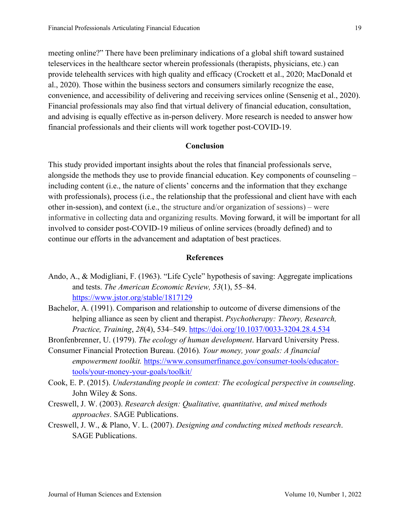meeting online?" There have been preliminary indications of a global shift toward sustained teleservices in the healthcare sector wherein professionals (therapists, physicians, etc.) can provide telehealth services with high quality and efficacy (Crockett et al., 2020; MacDonald et al., 2020). Those within the business sectors and consumers similarly recognize the ease, convenience, and accessibility of delivering and receiving services online (Sensenig et al., 2020). Financial professionals may also find that virtual delivery of financial education, consultation, and advising is equally effective as in-person delivery. More research is needed to answer how financial professionals and their clients will work together post-COVID-19.

#### **Conclusion**

This study provided important insights about the roles that financial professionals serve, alongside the methods they use to provide financial education. Key components of counseling – including content (i.e., the nature of clients' concerns and the information that they exchange with professionals), process (i.e., the relationship that the professional and client have with each other in-session), and context (i.e., the structure and/or organization of sessions) – were informative in collecting data and organizing results. Moving forward, it will be important for all involved to consider post-COVID-19 milieus of online services (broadly defined) and to continue our efforts in the advancement and adaptation of best practices.

#### **References**

- Ando, A., & Modigliani, F. (1963). "Life Cycle" hypothesis of saving: Aggregate implications and tests. *The American Economic Review, 53*(1), 55–84. <https://www.jstor.org/stable/1817129>
- Bachelor, A. (1991). Comparison and relationship to outcome of diverse dimensions of the helping alliance as seen by client and therapist. *Psychotherapy: Theory, Research, Practice, Training*, *28*(4), 534–549.<https://doi.org/10.1037/0033-3204.28.4.534>

Bronfenbrenner, U. (1979). *The ecology of human development*. Harvard University Press.

- Consumer Financial Protection Bureau. (2016)*. Your money, your goals: A financial empowerment toolkit.* [https://www.consumerfinance.gov/consumer-tools/educator](https://www.consumerfinance.gov/consumer-tools/educator-tools/your-money-your-goals/toolkit/)[tools/your-money-your-goals/toolkit/](https://www.consumerfinance.gov/consumer-tools/educator-tools/your-money-your-goals/toolkit/)
- Cook, E. P. (2015). *Understanding people in context: The ecological perspective in counseling*. John Wiley & Sons.
- Creswell, J. W. (2003). *Research design: Qualitative, quantitative, and mixed methods approaches*. SAGE Publications.
- Creswell, J. W., & Plano, V. L. (2007). *Designing and conducting mixed methods research*. SAGE Publications.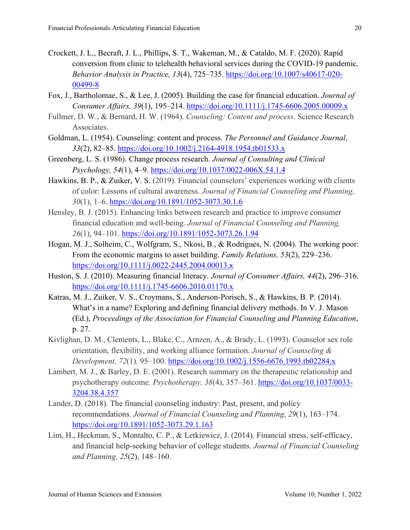- Crockett, J. L., Becraft, J. L., Phillips, S. T., Wakeman, M., & Cataldo, M. F. (2020). Rapid conversion from clinic to telehealth behavioral services during the COVID-19 pandemic. *Behavior Analysis in Practice, 13*(4), 725–735. [https://doi.org/10.1007/s40617-020-](https://doi.org/10.1007/s40617-020-00499-8) [00499-8](https://doi.org/10.1007/s40617-020-00499-8)
- Fox, J., Bartholomae, S., & Lee, J. (2005). Building the case for financial education. *Journal of Consumer Affairs, 39*(1), 195–214.<https://doi.org/10.1111/j.1745-6606.2005.00009.x>
- Fullmer, D. W., & Bernard, H. W. (1964). *Counseling: Content and process*. Science Research Associates.
- Goldman, L. (1954). Counseling: content and process. *The Personnel and Guidance Journal*, *33*(2), 82–85.<https://doi.org/10.1002/j.2164-4918.1954.tb01533.x>
- Greenberg, L. S. (1986). Change process research. *Journal of Consulting and Clinical Psychology, 54*(1), 4–9.<https://doi.org/10.1037/0022-006X.54.1.4>
- Hawkins, B. P., & Zuiker, V. S. (2019). Financial counselors' experiences working with clients of color: Lessons of cultural awareness. *Journal of Financial Counseling and Planning, 30*(1), 1–6.<https://doi.org/10.1891/1052-3073.30.1.6>
- Hensley, B. J. (2015). Enhancing links between research and practice to improve consumer financial education and well-being. *Journal of Financial Counseling and Planning, 26*(1), 94–101.<https://doi.org/10.1891/1052-3073.26.1.94>
- Hogan, M. J., Solheim, C., Wolfgram, S., Nkosi, B., & Rodrigues, N. (2004). The working poor: From the economic margins to asset building. *Family Relations, 53*(2), 229–236. <https://doi.org/10.1111/j.0022-2445.2004.00013.x>
- Huston, S. J. (2010). Measuring financial literacy. *Journal of Consumer Affairs, 44*(2), 296–316. <https://doi.org/10.1111/j.1745-6606.2010.01170.x>
- Katras, M. J., Zuiker, V. S., Croymans, S., Anderson-Porisch, S., & Hawkins, B. P. (2014). What's in a name? Exploring and defining financial delivery methods. In V. J. Mason (Ed.), *Proceedings of the Association for Financial Counseling and Planning Education*, p. 27.
- Kivlighan, D. M., Clements, L., Blake, C., Arnzen, A., & Brady, L. (1993). Counselor sex role orientation, flexibility, and working alliance formation. *Journal of Counseling & Development, 72*(1)*,* 95–100.<https://doi.org/10.1002/j.1556-6676.1993.tb02284.x>
- Lambert, M. J., & Barley, D. E. (2001). Research summary on the therapeutic relationship and psychotherapy outcome. *Psychotherapy, 38*(4), 357–361. [https://doi.org/10.1037/0033-](https://doi.org/10.1037/0033-3204.38.4.357) [3204.38.4.357](https://doi.org/10.1037/0033-3204.38.4.357)
- Lander, D. (2018). The financial counseling industry: Past, present, and policy recommendations. *Journal of Financial Counseling and Planning*, *29*(1), 163–174. <https://doi.org/10.1891/1052-3073.29.1.163>
- Lim, H., Heckman, S., Montalto, C. P., & Letkiewicz, J. (2014). Financial stress, self-efficacy, and financial help-seeking behavior of college students. *Journal of Financial Counseling and Planning, 25*(2), 148–160.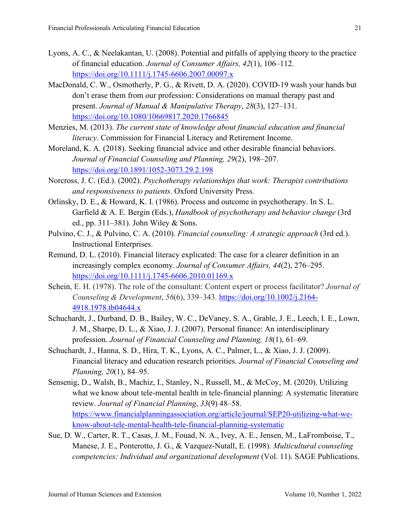- Lyons, A. C., & Neelakantan, U. (2008). Potential and pitfalls of applying theory to the practice of financial education. *Journal of Consumer Affairs, 42*(1), 106–112. <https://doi.org/10.1111/j.1745-6606.2007.00097.x>
- MacDonald, C. W., Osmotherly, P. G., & Rivett, D. A. (2020). COVID-19 wash your hands but don't erase them from our profession: Considerations on manual therapy past and present. *Journal of Manual & Manipulative Therapy*, *28*(3), 127–131. <https://doi.org/10.1080/10669817.2020.1766845>
- Menzies, M. (2013). *The current state of knowledge about financial education and financial literacy*. Commission for Financial Literacy and Retirement Income.
- Moreland, K. A. (2018). Seeking financial advice and other desirable financial behaviors. *Journal of Financial Counseling and Planning, 29*(2), 198–207. <https://doi.org/10.1891/1052-3073.29.2.198>
- Norcross, J. C. (Ed.). (2002). *Psychotherapy relationships that work: Therapist contributions and responsiveness to patients*. Oxford University Press.
- Orlinsky, D. E., & Howard, K. I. (1986). Process and outcome in psychotherapy. In S. L. Garfield & A. E. Bergin (Eds.), *Handbook of psychotherapy and behavior change* (3rd ed., pp. 311–381). John Wiley & Sons.
- Pulvino, C. J., & Pulvino, C. A. (2010). *Financial counseling: A strategic approach* (3rd ed.). Instructional Enterprises.
- Remund, D. L. (2010). Financial literacy explicated: The case for a clearer definition in an increasingly complex economy. *Journal of Consumer Affairs, 44*(2), 276–295. <https://doi.org/10.1111/j.1745-6606.2010.01169.x>
- Schein, E. H. (1978). The role of the consultant: Content expert or process facilitator? *Journal of Counseling & Development*, *56*(6), 339–343. [https://doi.org/10.1002/j.2164-](https://doi.org/10.1002/j.2164-4918.1978.tb04644.x) [4918.1978.tb04644.x](https://doi.org/10.1002/j.2164-4918.1978.tb04644.x)
- Schuchardt, J., Durband, D. B., Bailey, W. C., DeVaney, S. A., Grable, J. E., Leech, I. E., Lown, J. M., Sharpe, D. L., & Xiao, J. J. (2007). Personal finance: An interdisciplinary profession. *Journal of Financial Counseling and Planning, 18*(1), 61–69.
- Schuchardt, J., Hanna, S. D., Hira, T. K., Lyons, A. C., Palmer, L., & Xiao, J. J. (2009). Financial literacy and education research priorities. *Journal of Financial Counseling and Planning, 20*(1), 84–95.
- Sensenig, D., Walsh, B., Machiz, I., Stanley, N., Russell, M., & McCoy, M. (2020). Utilizing what we know about tele-mental health in tele-financial planning: A systematic literature review. *Journal of Financial Planning*, *33*(9) 48–58. [https://www.financialplanningassociation.org/article/journal/SEP20-utilizing-what-we](https://www.financialplanningassociation.org/article/journal/SEP20-utilizing-what-we-know-about-tele-mental-health-tele-financial-planning-systematic)[know-about-tele-mental-health-tele-financial-planning-systematic](https://www.financialplanningassociation.org/article/journal/SEP20-utilizing-what-we-know-about-tele-mental-health-tele-financial-planning-systematic)
- Sue, D. W., Carter, R. T., Casas, J. M., Fouad, N. A., Ivey, A. E., Jensen, M., LaFromboise, T., Manese, J. E., Ponterotto, J. G., & Vazquez-Nutall, E. (1998). *Multicultural counseling competencies: Individual and organizational development* (Vol. 11). SAGE Publications.